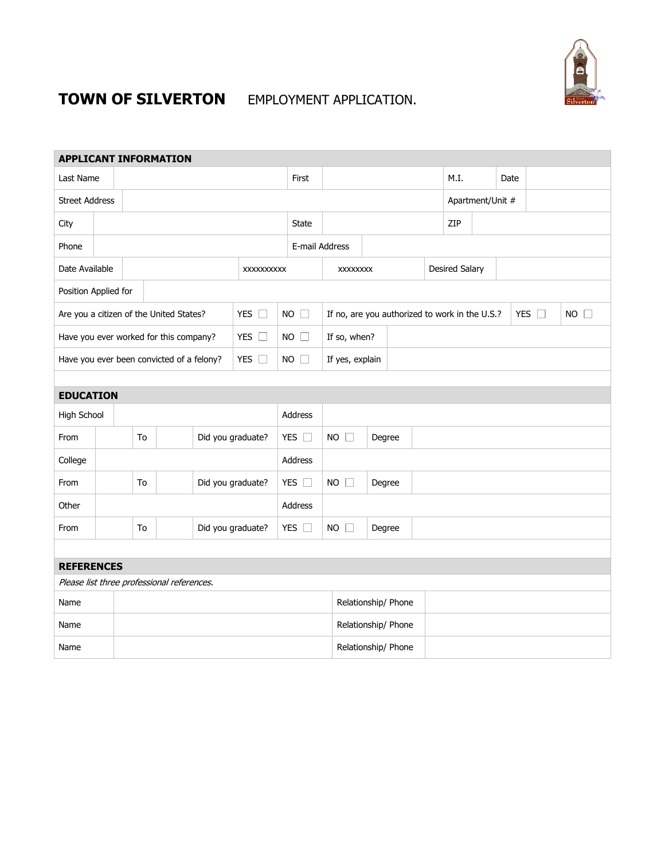

# **TOWN OF SILVERTON** EMPLOYMENT APPLICATION.

| <b>APPLICANT INFORMATION</b>               |    |                                         |                                           |                   |                   |                |               |                                                |                       |  |                  |                       |     |      |               |    |  |
|--------------------------------------------|----|-----------------------------------------|-------------------------------------------|-------------------|-------------------|----------------|---------------|------------------------------------------------|-----------------------|--|------------------|-----------------------|-----|------|---------------|----|--|
| Last Name                                  |    |                                         |                                           |                   |                   |                | First         |                                                |                       |  |                  | M.I.                  |     | Date |               |    |  |
| <b>Street Address</b>                      |    |                                         |                                           |                   |                   |                |               |                                                |                       |  | Apartment/Unit # |                       |     |      |               |    |  |
| City                                       |    |                                         |                                           |                   |                   |                | <b>State</b>  |                                                |                       |  |                  |                       | ZIP |      |               |    |  |
| Phone                                      |    |                                         |                                           |                   |                   |                |               |                                                | E-mail Address        |  |                  |                       |     |      |               |    |  |
| Date Available                             |    |                                         |                                           |                   |                   | XXXXXXXXXX     |               |                                                | <b>XXXXXXXX</b>       |  |                  | <b>Desired Salary</b> |     |      |               |    |  |
| Position Applied for                       |    |                                         |                                           |                   |                   |                |               |                                                |                       |  |                  |                       |     |      |               |    |  |
|                                            |    | Are you a citizen of the United States? |                                           |                   | YES $\square$     | <b>NO</b><br>П |               | If no, are you authorized to work in the U.S.? |                       |  |                  |                       |     |      | YES $\square$ | NO |  |
| Have you ever worked for this company?     |    |                                         |                                           |                   | YES $\square$     | $NO$ $\Box$    |               | If so, when?                                   |                       |  |                  |                       |     |      |               |    |  |
|                                            |    |                                         | Have you ever been convicted of a felony? |                   |                   | YES $\square$  | $NO$ $\Box$   |                                                | If yes, explain       |  |                  |                       |     |      |               |    |  |
|                                            |    |                                         |                                           |                   |                   |                |               |                                                |                       |  |                  |                       |     |      |               |    |  |
| <b>EDUCATION</b>                           |    |                                         |                                           |                   |                   |                |               |                                                |                       |  |                  |                       |     |      |               |    |  |
| High School                                |    |                                         |                                           | Address           |                   |                |               |                                                |                       |  |                  |                       |     |      |               |    |  |
| From                                       |    |                                         | To                                        |                   | Did you graduate? |                | YES $\square$ |                                                | $NO$ $\Box$<br>Degree |  |                  |                       |     |      |               |    |  |
| College                                    |    |                                         |                                           |                   |                   |                | Address       |                                                |                       |  |                  |                       |     |      |               |    |  |
| From                                       | To |                                         |                                           | Did you graduate? |                   | YES $\square$  |               | $NO$ $\Box$<br>Degree                          |                       |  |                  |                       |     |      |               |    |  |
| Other                                      |    |                                         |                                           |                   | Address           |                |               |                                                |                       |  |                  |                       |     |      |               |    |  |
| From                                       |    | To                                      |                                           | Did you graduate? |                   | YES $\square$  |               | $NO$ $\Box$<br>Degree                          |                       |  |                  |                       |     |      |               |    |  |
|                                            |    |                                         |                                           |                   |                   |                |               |                                                |                       |  |                  |                       |     |      |               |    |  |
| <b>REFERENCES</b>                          |    |                                         |                                           |                   |                   |                |               |                                                |                       |  |                  |                       |     |      |               |    |  |
| Please list three professional references. |    |                                         |                                           |                   |                   |                |               |                                                |                       |  |                  |                       |     |      |               |    |  |
| Name                                       |    |                                         |                                           |                   |                   |                |               |                                                | Relationship/ Phone   |  |                  |                       |     |      |               |    |  |
| Name                                       |    |                                         |                                           |                   |                   |                |               | Relationship/ Phone                            |                       |  |                  |                       |     |      |               |    |  |
| Name                                       |    |                                         |                                           |                   |                   |                |               |                                                | Relationship/ Phone   |  |                  |                       |     |      |               |    |  |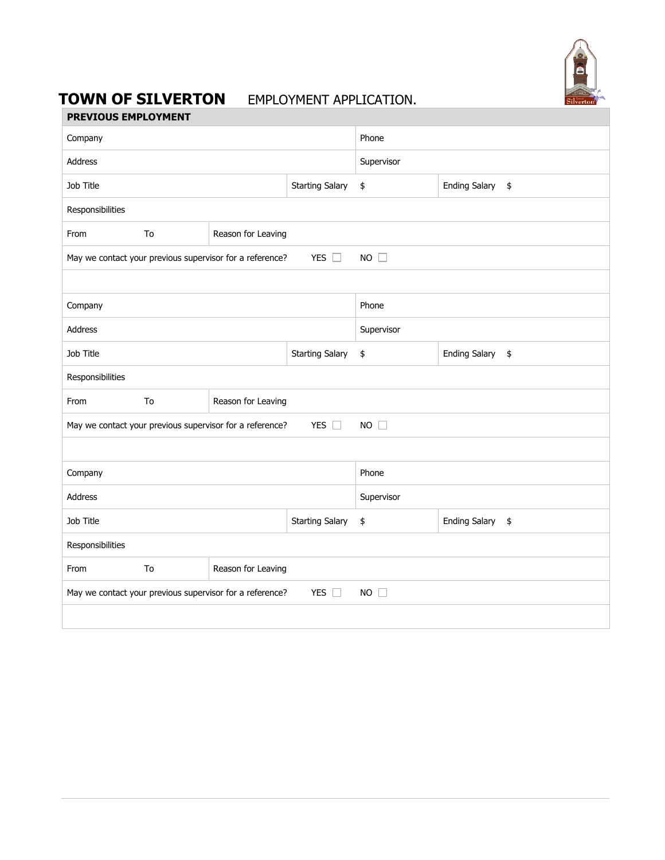

## **TOWN OF SILVERTON** EMPLOYMENT APPLICATION.

| <b>PREVIOUS EMPLOYMENT</b> |
|----------------------------|
|                            |

| Company                                                                                     |                          |                    | Phone      |                            |  |  |  |  |  |
|---------------------------------------------------------------------------------------------|--------------------------|--------------------|------------|----------------------------|--|--|--|--|--|
| Address                                                                                     |                          |                    | Supervisor |                            |  |  |  |  |  |
| Job Title                                                                                   |                          |                    | \$         | <b>Ending Salary</b><br>\$ |  |  |  |  |  |
| Responsibilities                                                                            |                          |                    |            |                            |  |  |  |  |  |
| From                                                                                        | To                       | Reason for Leaving |            |                            |  |  |  |  |  |
| YES $\square$<br>$NO$ $\square$<br>May we contact your previous supervisor for a reference? |                          |                    |            |                            |  |  |  |  |  |
|                                                                                             |                          |                    |            |                            |  |  |  |  |  |
| Company                                                                                     |                          |                    | Phone      |                            |  |  |  |  |  |
| Address                                                                                     |                          |                    | Supervisor |                            |  |  |  |  |  |
| Job Title                                                                                   |                          |                    | \$         | <b>Ending Salary</b><br>\$ |  |  |  |  |  |
| Responsibilities                                                                            |                          |                    |            |                            |  |  |  |  |  |
| From                                                                                        | To<br>Reason for Leaving |                    |            |                            |  |  |  |  |  |
| May we contact your previous supervisor for a reference?<br>YES $\square$<br>$NO$ $\Box$    |                          |                    |            |                            |  |  |  |  |  |
|                                                                                             |                          |                    |            |                            |  |  |  |  |  |
| Company                                                                                     |                          |                    | Phone      |                            |  |  |  |  |  |
| Address                                                                                     |                          |                    | Supervisor |                            |  |  |  |  |  |
| Job Title                                                                                   |                          |                    | \$         | <b>Ending Salary</b><br>\$ |  |  |  |  |  |
| Responsibilities                                                                            |                          |                    |            |                            |  |  |  |  |  |
| From                                                                                        | To<br>Reason for Leaving |                    |            |                            |  |  |  |  |  |
| YES $\square$<br>May we contact your previous supervisor for a reference?<br>$NO$ $\Box$    |                          |                    |            |                            |  |  |  |  |  |
|                                                                                             |                          |                    |            |                            |  |  |  |  |  |